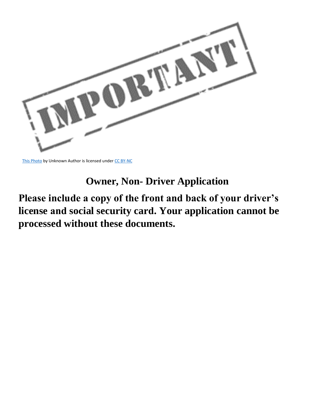

[This Photo](https://genderview.wordpress.com/2015/11/17/lesvos-volunteers-how-to-help-refugees-in-lesvos-greece-2/) by Unknown Author is licensed under [CC BY-NC](https://creativecommons.org/licenses/by-nc/3.0/)

## **Owner, Non- Driver Application**

## **Please include a copy of the front and back of your driver's license and social security card. Your application cannot be processed without these documents.**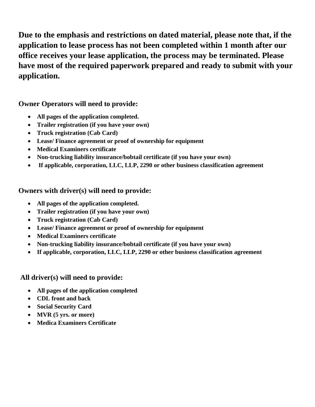**Due to the emphasis and restrictions on dated material, please note that, if the application to lease process has not been completed within 1 month after our office receives your lease application, the process may be terminated. Please have most of the required paperwork prepared and ready to submit with your application.**

#### **Owner Operators will need to provide:**

- **All pages of the application completed.**
- **Trailer registration (if you have your own)**
- **Truck registration (Cab Card)**
- **Lease/ Finance agreement or proof of ownership for equipment**
- **Medical Examiners certificate**
- **Non-trucking liability insurance/bobtail certificate (if you have your own)**
- **If applicable, corporation, LLC, LLP, 2290 or other business classification agreement**

### **Owners with driver(s) will need to provide:**

- **All pages of the application completed.**
- **Trailer registration (if you have your own)**
- **Truck registration (Cab Card)**
- **Lease/ Finance agreement or proof of ownership for equipment**
- **Medical Examiners certificate**
- **Non-trucking liability insurance/bobtail certificate (if you have your own)**
- **If applicable, corporation, LLC, LLP, 2290 or other business classification agreement**

### **All driver(s) will need to provide:**

- **All pages of the application completed**
- **CDL front and back**
- **Social Security Card**
- **MVR (5 yrs. or more)**
- **Medica Examiners Certificate**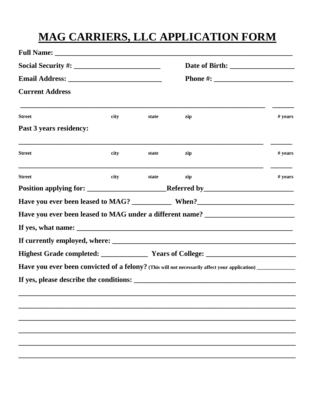# **MAG CARRIERS, LLC APPLICATION FORM**

| <b>Street</b>           | city | state | zip                                                                                                        | # years |
|-------------------------|------|-------|------------------------------------------------------------------------------------------------------------|---------|
| Past 3 years residency: |      |       |                                                                                                            |         |
| <b>Street</b>           | city | state | zip                                                                                                        | # years |
| <b>Street</b>           | city | state | zip                                                                                                        | # years |
|                         |      |       |                                                                                                            |         |
|                         |      |       |                                                                                                            |         |
|                         |      |       | Have you ever been leased to MAG under a different name? ________________________                          |         |
|                         |      |       |                                                                                                            |         |
|                         |      |       |                                                                                                            |         |
|                         |      |       |                                                                                                            |         |
|                         |      |       | Have you ever been convicted of a felony? (This will not necessarily affect your application) ____________ |         |
|                         |      |       |                                                                                                            |         |
|                         |      |       |                                                                                                            |         |
|                         |      |       |                                                                                                            |         |
|                         |      |       |                                                                                                            |         |
|                         |      |       |                                                                                                            |         |
|                         |      |       |                                                                                                            |         |
|                         |      |       |                                                                                                            |         |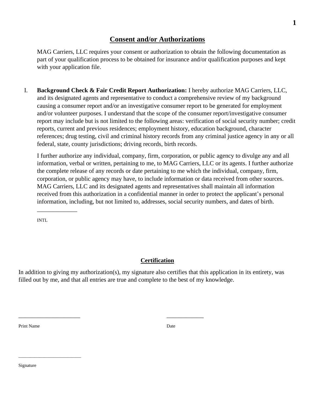#### **Consent and/or Authorizations**

MAG Carriers, LLC requires your consent or authorization to obtain the following documentation as part of your qualification process to be obtained for insurance and/or qualification purposes and kept with your application file.

I. **Background Check & Fair Credit Report Authorization:** I hereby authorize MAG Carriers, LLC, and its designated agents and representative to conduct a comprehensive review of my background causing a consumer report and/or an investigative consumer report to be generated for employment and/or volunteer purposes. I understand that the scope of the consumer report/investigative consumer report may include but is not limited to the following areas: verification of social security number; credit reports, current and previous residences; employment history, education background, character references; drug testing, civil and criminal history records from any criminal justice agency in any or all federal, state, county jurisdictions; driving records, birth records.

I further authorize any individual, company, firm, corporation, or public agency to divulge any and all information, verbal or written, pertaining to me, to MAG Carriers, LLC or its agents. I further authorize the complete release of any records or date pertaining to me which the individual, company, firm, corporation, or public agency may have, to include information or data received from other sources. MAG Carriers, LLC and its designated agents and representatives shall maintain all information received from this authorization in a confidential manner in order to protect the applicant's personal information, including, but not limited to, addresses, social security numbers, and dates of birth.

INTL

\_\_\_\_\_\_\_\_\_\_\_\_\_

#### **Certification**

In addition to giving my authorization(s), my signature also certifies that this application in its entirety, was filled out by me, and that all entries are true and complete to the best of my knowledge.

\_\_\_\_\_\_\_\_\_\_\_\_\_\_\_\_\_\_\_\_ \_\_\_\_\_\_\_\_\_\_\_\_

Print Name Date by a state of the Unit of the Unit of the Unit of the Unit of the Unit of the Unit of the Unit of the Unit of the Unit of the Unit of the Unit of the Unit of the Unit of the Unit of the Unit of the Unit of

Signature

\_\_\_\_\_\_\_\_\_\_\_\_\_\_\_\_\_\_\_\_\_\_\_\_\_\_\_